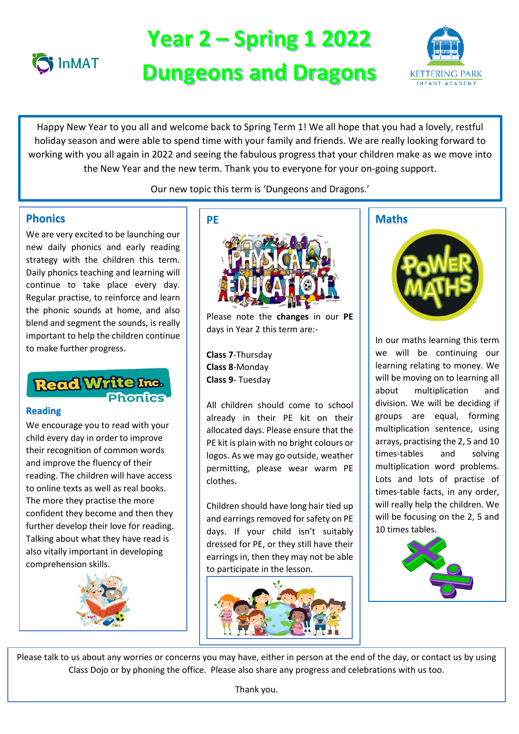

# **Year 2 – Spring 1 2022 Dungeons and Dragons**



 Happy New Year to you all and welcome back to Spring Term 1! We all hope that you had a lovely, restful working with you all again in 2022 and seeing the fabulous progress that your children make as we move into the New Year and the new term. Thank you to everyone for your on-going support. holiday season and were able to spend time with your family and friends. We are really looking forward to

Our new topic this term is 'Dungeons and Dragons.'

# **Phonics**

We are very excited to be launching our new daily phonics and early reading strategy with the children this term. Daily phonics teaching and learning will continue to take place every day. Regular practise, to reinforce and learn the phonic sounds at home, and also blend and segment the sounds, is really important to help the children continue to make further progress.

# **Read Write Inc.**<br>Phonics

### **Reading**

We encourage you to read with your child every day in order to improve their recognition of common words and improve the fluency of their reading. The children will have access to online texts as well as real books. The more they practise the more confident they become and then they further develop their love for reading. Talking about what they have read is also vitally important in developing comprehension skills.





Please note the **changes** in our **PE** days in Year 2 this term are:-

**Class 7**-Thursday **Class 8**-Monday **Class 9**- Tuesday

All children should come to school already in their PE kit on their allocated days. Please ensure that the PE kit is plain with no bright colours or logos. As we may go outside, weather permitting, please wear warm PE clothes.

Children should have long hair tied up and earrings removed for safety on PE days. If your child isn't suitably dressed for PE, or they still have their earrings in, then they may not be able to participate in the lesson.



# **Maths**



In our maths learning this term we will be continuing our learning relating to money. We will be moving on to learning all about multiplication and division. We will be deciding if groups are equal, forming multiplication sentence, using arrays, practising the 2, 5 and 10 times-tables and solving multiplication word problems. Lots and lots of practise of times-table facts, in any order, will really help the children. We will be focusing on the 2, 5 and 10 times tables.



Please talk to us about any worries or concerns you may have, either in person at the end of the day, or contact us by using Class Dojo or by phoning the office. Please also share any progress and celebrations with us too.